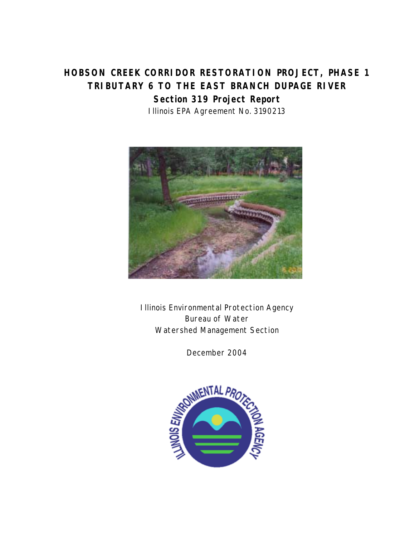# **HOBSON CREEK CORRIDOR RESTORATION PROJECT, PHASE 1 TRIBUTARY 6 TO THE EAST BRANCH DUPAGE RIVER Section 319 Project Report**  Illinois EPA Agreement No. 3190213



Illinois Environmental Protection Agency Bureau of Water Watershed Management Section

December 2004

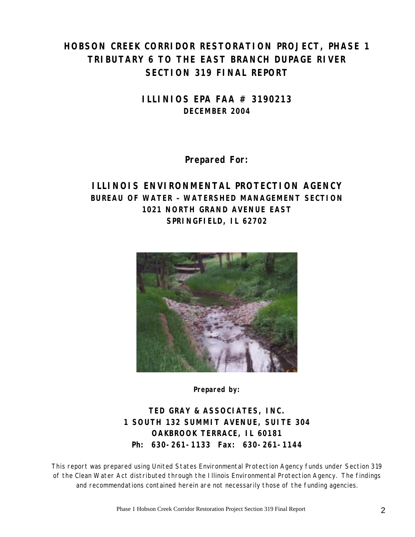# **HOBSON CREEK CORRIDOR RESTORATION PROJECT, PHASE 1 TRIBUTARY 6 TO THE EAST BRANCH DUPAGE RIVER SECTION 319 FINAL REPORT**

**ILLINIOS EPA FAA # 3190213 DECEMBER 2004** 

**Prepared For:** 

## **ILLINOIS ENVIRONMENTAL PROTECTION AGENCY BUREAU OF WATER – WATERSHED MANAGEMENT SECTION 1021 NORTH GRAND AVENUE EAST SPRINGFIELD, IL 62702**



**Prepared by:** 

**TED GRAY & ASSOCIATES, INC. 1 SOUTH 132 SUMMIT AVENUE, SUITE 304 OAKBROOK TERRACE, IL 60181 Ph: 630-261-1133 Fax: 630-261-1144**

This report was prepared using United States Environmental Protection Agency funds under Section 319 of the Clean Water Act distributed through the Illinois Environmental Protection Agency. The findings and recommendations contained herein are not necessarily those of the funding agencies.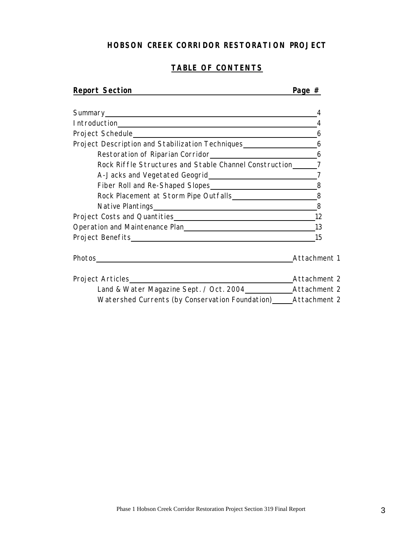## **HOBSON CREEK CORRIDOR RESTORATION PROJECT**

## **TABLE OF CONTENTS**

| <b>Report Section</b>                                                                                                           | Page $#$     |
|---------------------------------------------------------------------------------------------------------------------------------|--------------|
| Summary experience and the series of the series of the series of the series of the series of the series of the                  | 4            |
|                                                                                                                                 | 4            |
|                                                                                                                                 | 6            |
| Project Description and Stabilization Techniques<br>6                                                                           |              |
| Restoration of Riparian Corridor<br><u>16</u>                                                                                   |              |
| Rock Riffle Structures and Stable Channel Construction 7                                                                        |              |
| A-Jacks and Vegetated Geogrid 27                                                                                                |              |
|                                                                                                                                 |              |
|                                                                                                                                 |              |
|                                                                                                                                 |              |
|                                                                                                                                 |              |
| Operation and Maintenance Plan Management Control of Maintenance Plan                                                           | 13           |
|                                                                                                                                 | 15           |
| Photos<br><u> 1980 - Johann Stoff, deutscher Stoff, der Stoff, der Stoff, der Stoff, der Stoff, der Stoff, der Stoff, der S</u> | Attachment 1 |
|                                                                                                                                 |              |
|                                                                                                                                 |              |
| Watershed Currents (by Conservation Foundation) Attachment 2                                                                    |              |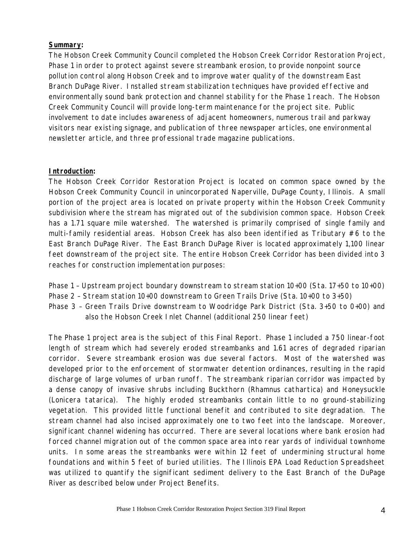#### **Summary:**

The Hobson Creek Community Council completed the Hobson Creek Corridor Restoration Project, Phase 1 in order to protect against severe streambank erosion, to provide nonpoint source pollution control along Hobson Creek and to improve water quality of the downstream East Branch DuPage River. Installed stream stabilization techniques have provided effective and environmentally sound bank protection and channel stability for the Phase 1 reach. The Hobson Creek Community Council will provide long-term maintenance for the project site. Public involvement to date includes awareness of adjacent homeowners, numerous trail and parkway visitors near existing signage, and publication of three newspaper articles, one environmental newsletter article, and three professional trade magazine publications.

#### **Introduction:**

The Hobson Creek Corridor Restoration Project is located on common space owned by the Hobson Creek Community Council in unincorporated Naperville, DuPage County, Illinois. A small portion of the project area is located on private property within the Hobson Creek Community subdivision where the stream has migrated out of the subdivision common space. Hobson Creek has a 1.71 square mile watershed. The watershed is primarily comprised of single family and multi-family residential areas. Hobson Creek has also been identified as Tributary  $#6$  to the East Branch DuPage River. The East Branch DuPage River is located approximately 1,100 linear feet downstream of the project site. The entire Hobson Creek Corridor has been divided into 3 reaches for construction implementation purposes:

- Phase 1 Upstream project boundary downstream to stream station 10+00 (Sta. 17+50 to 10+00)
- Phase 2 Stream station 10+00 downstream to Green Trails Drive (Sta. 10+00 to 3+50)
- Phase 3 Green Trails Drive downstream to Woodridge Park District (Sta. 3+50 to 0+00) and also the Hobson Creek Inlet Channel (additional 250 linear feet)

The Phase 1 project area is the subject of this Final Report. Phase 1 included a 750 linear-foot length of stream which had severely eroded streambanks and 1.61 acres of degraded riparian corridor. Severe streambank erosion was due several factors. Most of the watershed was developed prior to the enforcement of stormwater detention ordinances, resulting in the rapid discharge of large volumes of urban runoff. The streambank riparian corridor was impacted by a dense canopy of invasive shrubs including Buckthorn (Rhamnus cathartica) and Honeysuckle (Lonicera tatarica). The highly eroded streambanks contain little to no ground-stabilizing vegetation. This provided little functional benefit and contributed to site degradation. The stream channel had also incised approximately one to two feet into the landscape. Moreover, significant channel widening has occurred. There are several locations where bank erosion had forced channel migration out of the common space area into rear yards of individual townhome units. In some areas the streambanks were within 12 feet of undermining structural home foundations and within 5 feet of buried utilities. The Illinois EPA Load Reduction Spreadsheet was utilized to quantify the significant sediment delivery to the East Branch of the DuPage River as described below under Project Benefits.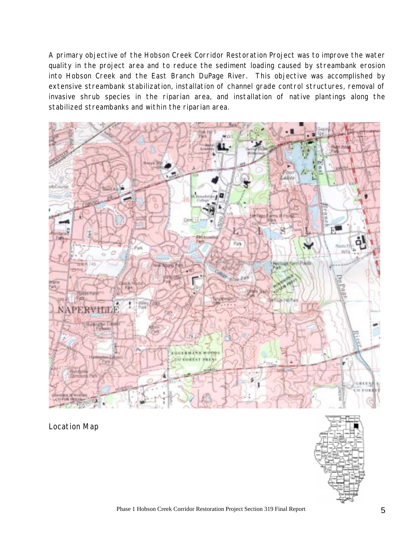A primary objective of the Hobson Creek Corridor Restoration Project was to improve the water quality in the project area and to reduce the sediment loading caused by streambank erosion into Hobson Creek and the East Branch DuPage River. This objective was accomplished by extensive streambank stabilization, installation of channel grade control structures, removal of invasive shrub species in the riparian area, and installation of native plantings along the stabilized streambanks and within the riparian area.



Location Map

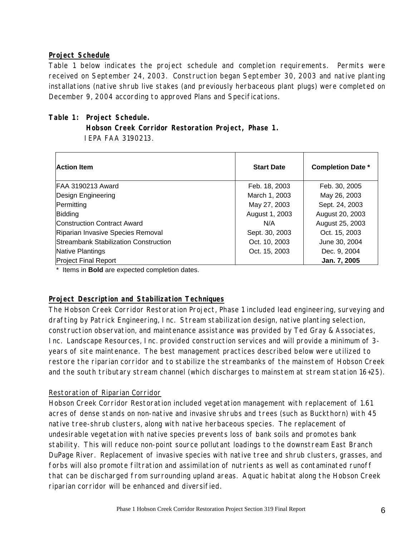#### **Project Schedule**

Table 1 below indicates the project schedule and completion requirements. Permits were received on September 24, 2003. Construction began September 30, 2003 and native planting installations (native shrub live stakes (and previously herbaceous plant plugs) were completed on December 9, 2004 according to approved Plans and Specifications.

#### **Table 1: Project Schedule.**

 **Hobson Creek Corridor Restoration Project, Phase 1.** IEPA FAA 3190213.

| <b>Action Item</b>                           | <b>Start Date</b> | <b>Completion Date *</b> |
|----------------------------------------------|-------------------|--------------------------|
| FAA 3190213 Award                            | Feb. 18, 2003     | Feb. 30, 2005            |
| Design Engineering                           | March 1, 2003     | May 26, 2003             |
| Permitting                                   | May 27, 2003      | Sept. 24, 2003           |
| Bidding                                      | August 1, 2003    | August 20, 2003          |
| Construction Contract Award                  | N/A               | August 25, 2003          |
| Riparian Invasive Species Removal            | Sept. 30, 2003    | Oct. 15, 2003            |
| <b>Streambank Stabilization Construction</b> | Oct. 10, 2003     | June 30, 2004            |
| Native Plantings                             | Oct. 15, 2003     | Dec. 9, 2004             |
| <b>Project Final Report</b>                  |                   | Jan. 7, 2005             |

\* Items in **Bold** are expected completion dates.

#### **Project Description and Stabilization Techniques**

The Hobson Creek Corridor Restoration Project, Phase 1 included lead engineering, surveying and drafting by Patrick Engineering, Inc. Stream stabilization design, native planting selection, construction observation, and maintenance assistance was provided by Ted Gray & Associates, Inc. Landscape Resources, Inc. provided construction services and will provide a minimum of 3 years of site maintenance. The best management practices described below were utilized to restore the riparian corridor and to stabilize the streambanks of the mainstem of Hobson Creek and the south tributary stream channel (which discharges to mainstem at stream station 16+25).

#### Restoration of Riparian Corridor

Hobson Creek Corridor Restoration included vegetation management with replacement of 1.61 acres of dense stands on non-native and invasive shrubs and trees (such as Buckthorn) with 45 native tree-shrub clusters, along with native herbaceous species. The replacement of undesirable vegetation with native species prevents loss of bank soils and promotes bank stability. This will reduce non-point source pollutant loadings to the downstream East Branch DuPage River. Replacement of invasive species with native tree and shrub clusters, grasses, and forbs will also promote filtration and assimilation of nutrients as well as contaminated runoff that can be discharged from surrounding upland areas. Aquatic habitat along the Hobson Creek riparian corridor will be enhanced and diversified.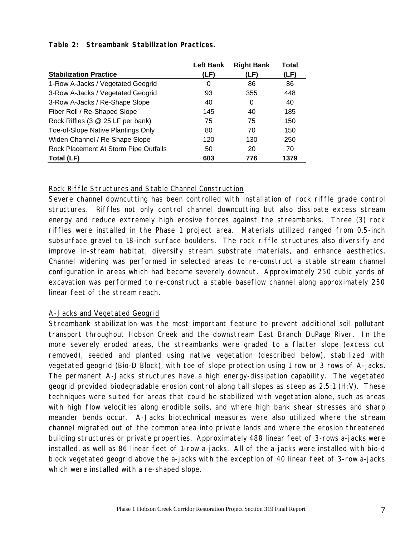|                                       | <b>Left Bank</b> | <b>Right Bank</b> | Total |
|---------------------------------------|------------------|-------------------|-------|
| <b>Stabilization Practice</b>         | (LF)             | (LF)              | (LF)  |
| 1-Row A-Jacks / Vegetated Geogrid     | 0                | 86                | 86    |
| 3-Row A-Jacks / Vegetated Geogrid     | 93               | 355               | 448   |
| 3-Row A-Jacks / Re-Shape Slope        | 40               | 0                 | 40    |
| Fiber Roll / Re-Shaped Slope          | 145              | 40                | 185   |
| Rock Riffles (3 @ 25 LF per bank)     | 75               | 75                | 150   |
| Toe-of-Slope Native Plantings Only    | 80               | 70                | 150   |
| Widen Channel / Re-Shape Slope        | 120              | 130               | 250   |
| Rock Placement At Storm Pipe Outfalls | 50               | 20                | 70    |
| Total (LF)                            | 603              | 776               | 1379  |

**Table 2: Streambank Stabilization Practices.**

#### Rock Riffle Structures and Stable Channel Construction

Severe channel downcutting has been controlled with installation of rock riffle grade control structures. Riffles not only control channel downcutting but also dissipate excess stream energy and reduce extremely high erosive forces against the streambanks. Three (3) rock riffles were installed in the Phase 1 project area. Materials utilized ranged from 0.5-inch subsurface gravel to 18-inch surface boulders. The rock riffle structures also diversify and improve in-stream habitat, diversify stream substrate materials, and enhance aesthetics. Channel widening was performed in selected areas to re-construct a stable stream channel configuration in areas which had become severely downcut. Approximately 250 cubic yards of excavation was performed to re-construct a stable baseflow channel along approximately 250 linear feet of the stream reach.

#### A-Jacks and Vegetated Geogrid

Streambank stabilization was the most important feature to prevent additional soil pollutant transport throughout Hobson Creek and the downstream East Branch DuPage River. In the more severely eroded areas, the streambanks were graded to a flatter slope (excess cut removed), seeded and planted using native vegetation (described below), stabilized with vegetated geogrid (Bio-D Block), with toe of slope protection using 1 row or 3 rows of A-jacks. The permanent A-Jacks structures have a high energy-dissipation capability. The vegetated geogrid provided biodegradable erosion control along tall slopes as steep as 2.5:1 (H:V). These techniques were suited for areas that could be stabilized with vegetation alone, such as areas with high flow velocities along erodible soils, and where high bank shear stresses and sharp meander bends occur. A-Jacks biotechnical measures were also utilized where the stream channel migrated out of the common area into private lands and where the erosion threatened building structures or private properties. Approximately 488 linear feet of 3-rows a-jacks were installed, as well as 86 linear feet of 1-row a-jacks. All of the a-jacks were installed with bio-d block vegetated geogrid above the a-jacks with the exception of 40 linear feet of 3-row a-jacks which were installed with a re-shaped slope.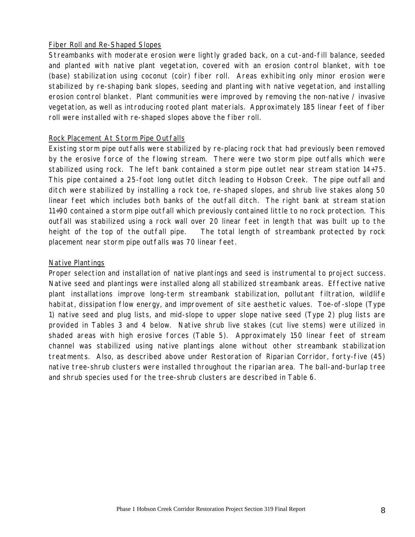#### Fiber Roll and Re-Shaped Slopes

Streambanks with moderate erosion were lightly graded back, on a cut-and-fill balance, seeded and planted with native plant vegetation, covered with an erosion control blanket, with toe (base) stabilization using coconut (coir) fiber roll. Areas exhibiting only minor erosion were stabilized by re-shaping bank slopes, seeding and planting with native vegetation, and installing erosion control blanket. Plant communities were improved by removing the non-native / invasive vegetation, as well as introducing rooted plant materials. Approximately 185 linear feet of fiber roll were installed with re-shaped slopes above the fiber roll.

#### Rock Placement At Storm Pipe Outfalls

Existing storm pipe outfalls were stabilized by re-placing rock that had previously been removed by the erosive force of the flowing stream. There were two storm pipe outfalls which were stabilized using rock. The left bank contained a storm pipe outlet near stream station 14+75. This pipe contained a 25-foot long outlet ditch leading to Hobson Creek. The pipe outfall and ditch were stabilized by installing a rock toe, re-shaped slopes, and shrub live stakes along 50 linear feet which includes both banks of the outfall ditch. The right bank at stream station 11+90 contained a storm pipe outfall which previously contained little to no rock protection. This outfall was stabilized using a rock wall over 20 linear feet in length that was built up to the height of the top of the outfall pipe. The total length of streambank protected by rock placement near storm pipe outfalls was 70 linear feet.

#### Native Plantings

Proper selection and installation of native plantings and seed is instrumental to project success. Native seed and plantings were installed along all stabilized streambank areas. Effective native plant installations improve long-term streambank stabilization, pollutant filtration, wildlife habitat, dissipation flow energy, and improvement of site aesthetic values. Toe-of-slope (Type 1) native seed and plug lists, and mid-slope to upper slope native seed (Type 2) plug lists are provided in Tables 3 and 4 below. Native shrub live stakes (cut live stems) were utilized in shaded areas with high erosive forces (Table 5). Approximately 150 linear feet of stream channel was stabilized using native plantings alone without other streambank stabilization treatments. Also, as described above under Restoration of Riparian Corridor, forty-five (45) native tree-shrub clusters were installed throughout the riparian area. The ball-and-burlap tree and shrub species used for the tree-shrub clusters are described in Table 6.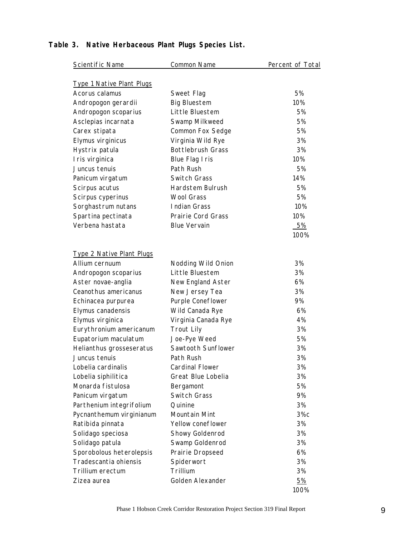| Scientific Name                  | Common Name               | Percent of Total |
|----------------------------------|---------------------------|------------------|
| <b>Type 1 Native Plant Plugs</b> |                           |                  |
| Acorus calamus                   | Sweet Flag                | 5%               |
| Andropogon gerardii              | <b>Big Bluestem</b>       | 10%              |
| Andropogon scoparius             | Little Bluestem           | 5%               |
| Asclepias incarnata              | Swamp Milkweed            | 5%               |
| Carex stipata                    | <b>Common Fox Sedge</b>   | 5%               |
| Elymus virginicus                | Virginia Wild Rye         | 3%               |
| Hystrix patula                   | <b>Bottlebrush Grass</b>  | 3%               |
| I ris virginica                  | <b>Blue Flag I ris</b>    | 10%              |
| Juncus tenuis                    | Path Rush                 | 5%               |
| Panicum virgatum                 | <b>Switch Grass</b>       | 14%              |
| Scirpus acutus                   | Hardstem Bulrush          | 5%               |
| Scirpus cyperinus                | <b>Wool Grass</b>         | 5%               |
| Sorghastrum nutans               | Indian Grass              | 10%              |
| Spartina pectinata               | <b>Prairie Cord Grass</b> | 10%              |
| Verbena hastata                  | <b>Blue Vervain</b>       | 5%               |
|                                  |                           | 100%             |
| <b>Type 2 Native Plant Plugs</b> |                           |                  |
| Allium cernuum                   | Nodding Wild Onion        | 3%               |
| Andropogon scoparius             | Little Bluestem           | 3%               |
| Aster novae-anglia               | New England Aster         | 6%               |
| Ceanothus americanus             | New Jersey Tea            | 3%               |
| Echinacea purpurea               | Purple Coneflower         | 9%               |
| Elymus canadensis                | Wild Canada Rye           | 6%               |
| Elymus virginica                 | Virginia Canada Rye       | 4%               |
| Eurythronium americanum          | <b>Trout Lily</b>         | 3%               |
| Eupatorium maculatum             | Joe-Pye Weed              | 5%               |
| Helianthus grosseseratus         | Sawtooth Sunflower        | 3%               |
| Juncus tenuis                    | Path Rush                 | 3%               |
| Lobelia cardinalis               | <b>Cardinal Flower</b>    | 3%               |
| Lobelia siphilitica              | Great Blue Lobelia        | 3%               |
| Monarda fistulosa                | Bergamont                 | 5%               |
| Panicum virgatum                 | <b>Switch Grass</b>       | 9%               |
| Parthenium integrifolium         | Quinine                   | 3%               |
| Pycnanthemum virginianum         | Mountain Mint             | $3\%c$           |
| Ratibida pinnata                 | Yellow coneflower         | 3%               |
| Solidago speciosa                | <b>Showy Goldenrod</b>    | 3%               |
| Solidago patula                  | Swamp Goldenrod           | 3%               |
| Sporobolous heterolepsis         | Prairie Dropseed          | 6%               |
| Tradescantia ohiensis            | Spiderwort                | 3%               |
| Trillium erectum                 | Trillium                  | 3%               |
| Zizea aurea                      | Golden Alexander          | <u>5%</u>        |
|                                  |                           | 100%             |

## **Table 3. Native Herbaceous Plant Plugs Species List.**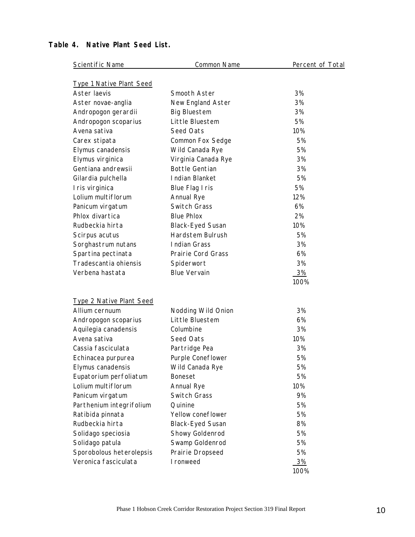| <b>Scientific Name</b>          | <b>Common Name</b>        | Percent of Total |
|---------------------------------|---------------------------|------------------|
| <b>Type 1 Native Plant Seed</b> |                           |                  |
| Aster laevis                    | Smooth Aster              | 3%               |
| Aster novae-anglia              | New England Aster         | 3%               |
| Andropogon gerardii             | <b>Big Bluestem</b>       | 3%               |
| Andropogon scoparius            | Little Bluestem           | 5%               |
| Avena sativa                    | Seed Oats                 | 10%              |
| Carex stipata                   | <b>Common Fox Sedge</b>   | 5%               |
| Elymus canadensis               | Wild Canada Rye           | 5%               |
| Elymus virginica                | Virginia Canada Rye       | 3%               |
| Gentiana andrewsii              | <b>Bottle Gentian</b>     | 3%               |
| Gilardia pulchella              | Indian Blanket            | 5%               |
| I ris virginica                 | Blue Flag I ris           | 5%               |
| Lolium multiflorum              | <b>Annual Rye</b>         | 12%              |
| Panicum virgatum                | <b>Switch Grass</b>       | 6%               |
| Phlox divartica                 | <b>Blue Phlox</b>         | 2%               |
| Rudbeckia hirta                 | <b>Black-Eyed Susan</b>   | 10%              |
| Scirpus acutus                  | <b>Hardstem Bulrush</b>   | 5%               |
| Sorghastrum nutans              | <b>Indian Grass</b>       | 3%               |
| Spartina pectinata              | <b>Prairie Cord Grass</b> | 6%               |
| Tradescantia ohiensis           | Spiderwort                | 3%               |
| Verbena hastata                 | <b>Blue Vervain</b>       | 3%               |
|                                 |                           | 100%             |
| <b>Type 2 Native Plant Seed</b> |                           |                  |
| Allium cernuum                  | Nodding Wild Onion        | 3%               |
| Andropogon scoparius            | Little Bluestem           | 6%               |
| Aquilegia canadensis            | Columbine                 | 3%               |
| Avena sativa                    | Seed Oats                 | 10%              |
| Cassia fasciculata              | Partridge Pea             | 3%               |
| Echinacea purpurea              | Purple Coneflower         | 5%               |
| Elymus canadensis               | Wild Canada Rye           | 5%               |
| Eupatorium perfoliatum          | Boneset                   | 5%               |
| Lolium multiflorum              | <b>Annual Rye</b>         | 10%              |
| Panicum virgatum                | Switch Grass              | 9%               |
| Parthenium integrifolium        | Quinine                   | 5%               |
| Ratibida pinnata                | Yellow coneflower         | 5%               |
| Rudbeckia hirta                 | <b>Black-Eyed Susan</b>   | 8%               |
| Solidago speciosia              | Showy Goldenrod           | 5%               |
| Solidago patula                 | Swamp Goldenrod           | 5%               |
| Sporobolous heterolepsis        | Prairie Dropseed          | 5%               |
| Veronica fasciculata            | I ronweed                 | <b>3%</b>        |
|                                 |                           | 100%             |

#### **Table 4. Native Plant Seed List.**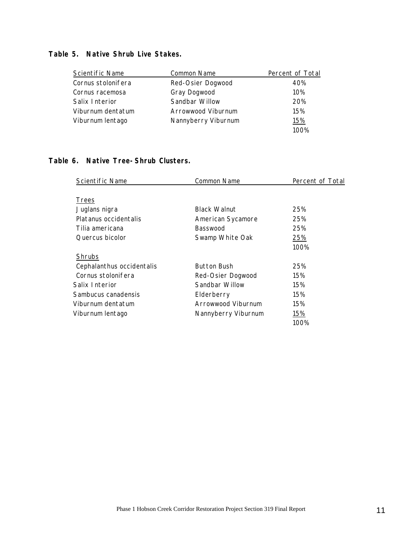### **Table 5. Native Shrub Live Stakes.**

| Scientific Name    | Common Name         | Percent of Total |
|--------------------|---------------------|------------------|
| Cornus stolonifera | Red-Osier Dogwood   | 40%              |
| Cornus racemosa    | Gray Dogwood        | 10%              |
| Salix Interior     | Sandbar Willow      | 20%              |
| Viburnum dentatum  | Arrowwood Viburnum  | 15%              |
| Viburnum lentago   | Nannyberry Viburnum | 15%              |
|                    |                     | 100%             |

## **Table 6. Native Tree-Shrub Clusters.**

| Scientific Name           | <b>Common Name</b>  | Percent of Total |
|---------------------------|---------------------|------------------|
|                           |                     |                  |
| <b>Trees</b>              |                     |                  |
| Juglans nigra             | <b>Black Walnut</b> | 25%              |
| Platanus occidentalis     | American Sycamore   | 25%              |
| Tilia americana           | <b>Basswood</b>     | 25%              |
| Quercus bicolor           | Swamp White Oak     | 25%              |
|                           |                     | 100%             |
| <b>Shrubs</b>             |                     |                  |
| Cephalanthus occidentalis | <b>Button Bush</b>  | 25%              |
| Cornus stolonifera        | Red-Osier Dogwood   | 15%              |
| Salix Interior            | Sandbar Willow      | 15%              |
| Sambucus canadensis       | Elderberry          | 15%              |
| Viburnum dentatum         | Arrowwood Viburnum  | 15%              |
| Viburnum lentago          | Nannyberry Viburnum | 15%              |
|                           |                     | 100%             |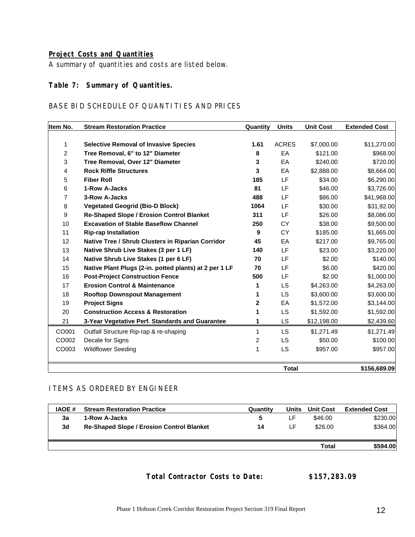#### **Project Costs and Quantities**

A summary of quantities and costs are listed below.

#### **Table 7: Summary of Quantities.**

#### BASE BID SCHEDULE OF QUANTITIES AND PRICES

| Item No.       | <b>Stream Restoration Practice</b>                     | Quantity | Units        | <b>Unit Cost</b> | <b>Extended Cost</b> |
|----------------|--------------------------------------------------------|----------|--------------|------------------|----------------------|
|                |                                                        |          |              |                  |                      |
| 1              | <b>Selective Removal of Invasive Species</b>           | 1.61     | <b>ACRES</b> | \$7,000.00       | \$11,270.00          |
| $\overline{c}$ | Tree Removal, 6" to 12" Diameter                       | 8        | EA           | \$121.00         | \$968.00             |
| 3              | Tree Removal, Over 12" Diameter                        | 3        | EA           | \$240.00         | \$720.00             |
| 4              | <b>Rock Riffle Structures</b>                          | 3        | EA           | \$2,888.00       | \$8,664.00           |
| 5              | <b>Fiber Roll</b>                                      | 185      | LF.          | \$34.00          | \$6,290.00           |
| 6              | 1-Row A-Jacks                                          | 81       | LF.          | \$46.00          | \$3,726.00           |
| 7              | 3-Row A-Jacks                                          | 488      | LF           | \$86.00          | \$41,968.00          |
| 8              | <b>Vegetated Geogrid (Bio-D Block)</b>                 | 1064     | LF           | \$30.00          | \$31,92.00           |
| 9              | <b>Re-Shaped Slope / Erosion Control Blanket</b>       | 311      | LF           | \$26.00          | \$8,086.00           |
| 10             | <b>Excavation of Stable Baseflow Channel</b>           | 250      | <b>CY</b>    | \$38.00          | \$9,500.00           |
| 11             | <b>Rip-rap Installation</b>                            | 9        | <b>CY</b>    | \$185.00         | \$1,665.00           |
| 12             | Native Tree / Shrub Clusters in Riparian Corridor      | 45       | EA           | \$217.00         | \$9,765.00           |
| 13             | Native Shrub Live Stakes (3 per 1 LF)                  | 140      | LF.          | \$23.00          | \$3,220.00           |
| 14             | Native Shrub Live Stakes (1 per 6 LF)                  | 70       | LF           | \$2.00           | \$140.00             |
| 15             | Native Plant Plugs (2-in. potted plants) at 2 per 1 LF | 70       | LF           | \$6.00           | \$420.00             |
| 16             | <b>Post-Project Construction Fence</b>                 | 500      | LF.          | \$2.00           | \$1,000.00           |
| 17             | <b>Erosion Control &amp; Maintenance</b>               | 1        | <b>LS</b>    | \$4,263.00       | \$4,263.00           |
| 18             | <b>Rooftop Downspout Management</b>                    | 1        | LS.          | \$3,600.00       | \$3,600.00           |
| 19             | <b>Project Signs</b>                                   | 2        | EA           | \$1,572.00       | \$3,144.00           |
| 20             | <b>Construction Access &amp; Restoration</b>           | 1        | LS.          | \$1,592.00       | \$1,592.00           |
| 21             | 3-Year Vegetative Perf. Standards and Guarantee        | 1        | LS.          | \$12,198.00      | \$2,439.60           |
| CO001          | Outfall Structure Rip-rap & re-shaping                 | 1        | LS.          | \$1,271.49       | \$1,271.49           |
| CO002          | Decale for Signs                                       | 2        | <b>LS</b>    | \$50.00          | \$100.00             |
| CO003          | <b>Wildflower Seeding</b>                              | 1        | <b>LS</b>    | \$957.00         | \$957.00             |
|                |                                                        |          | <b>Total</b> |                  | \$156,689.09         |

#### ITEMS AS ORDERED BY ENGINEER

| <b>IAOE</b> # | <b>Stream Restoration Practice</b>               | Quantity | Units | <b>Unit Cost</b> | <b>Extended Cost</b> |
|---------------|--------------------------------------------------|----------|-------|------------------|----------------------|
| 3a            | 1-Row A-Jacks                                    | 5        | LF    | \$46.00          | \$230.00             |
| 3d            | <b>Re-Shaped Slope / Erosion Control Blanket</b> | 14       | LF.   | \$26.00          | \$364.00             |
|               |                                                  |          |       |                  |                      |
|               |                                                  |          |       | Total            | \$594.00             |

#### **Total Contractor Costs to Date: \$157,283.09**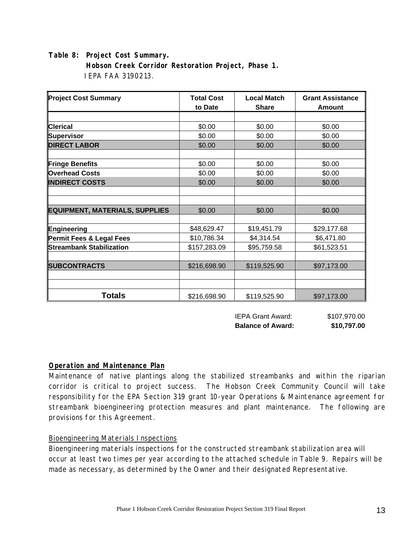**Table 8: Project Cost Summary. Hobson Creek Corridor Restoration Project, Phase 1.** IEPA FAA 3190213.

| <b>Project Cost Summary</b>           | <b>Total Cost</b><br>to Date | <b>Local Match</b><br><b>Share</b> | <b>Grant Assistance</b><br><b>Amount</b> |  |
|---------------------------------------|------------------------------|------------------------------------|------------------------------------------|--|
|                                       |                              |                                    |                                          |  |
| <b>Clerical</b>                       | \$0.00                       | \$0.00                             | \$0.00                                   |  |
| Supervisor                            | \$0.00                       | \$0.00                             | \$0.00                                   |  |
| <b>DIRECT LABOR</b>                   | \$0.00                       | \$0.00                             | \$0.00                                   |  |
| Fringe Benefits                       | \$0.00                       | \$0.00                             | \$0.00                                   |  |
| <b>Overhead Costs</b>                 | \$0.00                       | \$0.00                             | \$0.00                                   |  |
| <b>INDIRECT COSTS</b>                 | \$0.00                       | \$0.00                             | \$0.00                                   |  |
|                                       |                              |                                    |                                          |  |
|                                       |                              |                                    |                                          |  |
| <b>EQUIPMENT, MATERIALS, SUPPLIES</b> | \$0.00                       | \$0.00                             | \$0.00                                   |  |
|                                       |                              |                                    |                                          |  |
| Engineering                           | \$48,629.47                  | \$19,451.79                        | \$29,177.68                              |  |
| Permit Fees & Legal Fees              | \$10,786.34                  | \$4,314.54                         | \$6,471.80                               |  |
| <b>Streambank Stabilization</b>       | \$157,283.09                 | \$95,759.58                        | \$61,523.51                              |  |
|                                       |                              |                                    |                                          |  |
| <b>SUBCONTRACTS</b>                   | \$216,698.90                 | \$119,525.90                       | \$97,173.00                              |  |
|                                       |                              |                                    |                                          |  |
|                                       |                              |                                    |                                          |  |
| <b>Totals</b>                         | \$216,698.90                 | \$119,525.90                       | \$97,173.00                              |  |

 IEPA Grant Award: \$107,970.00 **Balance of Award: \$10,797.00** 

#### **Operation and Maintenance Plan**

Maintenance of native plantings along the stabilized streambanks and within the riparian corridor is critical to project success. The Hobson Creek Community Council will take responsibility for the EPA Section 319 grant 10-year Operations & Maintenance agreement for streambank bioengineering protection measures and plant maintenance. The following are provisions for this Agreement.

#### Bioengineering Materials Inspections

Bioengineering materials inspections for the constructed streambank stabilization area will occur at least two times per year according to the attached schedule in Table 9. Repairs will be made as necessary, as determined by the Owner and their designated Representative.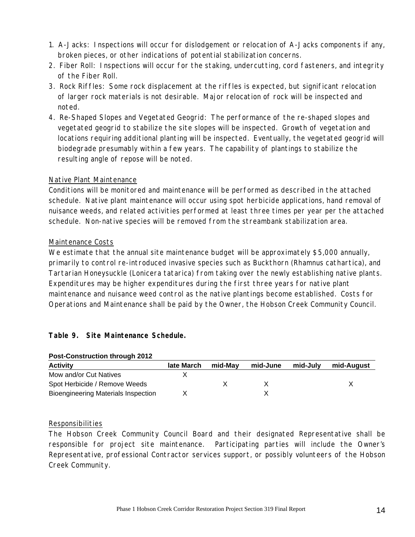- 1. A-Jacks: Inspections will occur for dislodgement or relocation of A-Jacks components if any, broken pieces, or other indications of potential stabilization concerns.
- 2. Fiber Roll: Inspections will occur for the staking, undercutting, cord fasteners, and integrity of the Fiber Roll.
- 3. Rock Riffles: Some rock displacement at the riffles is expected, but significant relocation of larger rock materials is not desirable. Major relocation of rock will be inspected and noted.
- 4. Re-Shaped Slopes and Vegetated Geogrid: The performance of the re-shaped slopes and vegetated geogrid to stabilize the site slopes will be inspected. Growth of vegetation and locations requiring additional planting will be inspected. Eventually, the vegetated geogrid will biodegrade presumably within a few years. The capability of plantings to stabilize the resulting angle of repose will be noted.

#### Native Plant Maintenance

Conditions will be monitored and maintenance will be performed as described in the attached schedule. Native plant maintenance will occur using spot herbicide applications, hand removal of nuisance weeds, and related activities performed at least three times per year per the attached schedule. Non-native species will be removed from the streambank stabilization area.

#### Maintenance Costs

We estimate that the annual site maintenance budget will be approximately \$5,000 annually, primarily to control re-introduced invasive species such as Buckthorn (Rhamnus cathartica), and Tartarian Honeysuckle (Lonicera tatarica) from taking over the newly establishing native plants. Expenditures may be higher expenditures during the first three years for native plant maintenance and nuisance weed control as the native plantings become established. Costs for Operations and Maintenance shall be paid by the Owner, the Hobson Creek Community Council.

#### **Table 9. Site Maintenance Schedule.**

| <b>POST-CONSTRUCTION INTOUGH ZUTZ</b>      |            |         |          |          |            |
|--------------------------------------------|------------|---------|----------|----------|------------|
| <b>Activity</b>                            | late March | mid-Mav | mid-June | mid-July | mid-August |
| Mow and/or Cut Natives                     |            |         |          |          |            |
| Spot Herbicide / Remove Weeds              |            |         |          |          |            |
| <b>Bioengineering Materials Inspection</b> |            |         |          |          |            |

#### **Post-Construction through 2012**

#### Responsibilities

The Hobson Creek Community Council Board and their designated Representative shall be responsible for project site maintenance. Participating parties will include the Owner's Representative, professional Contractor services support, or possibly volunteers of the Hobson Creek Community.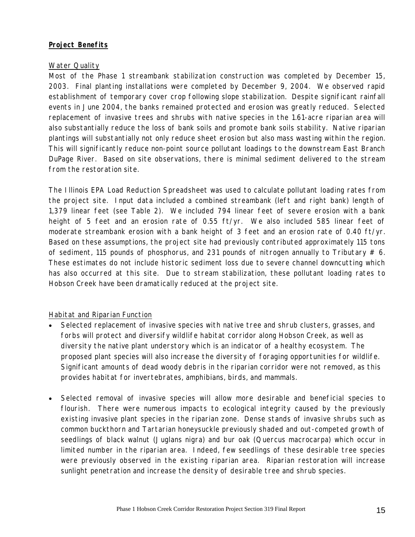#### **Project Benefits**

#### Water Quality

Most of the Phase 1 streambank stabilization construction was completed by December 15, 2003. Final planting installations were completed by December 9, 2004. We observed rapid establishment of temporary cover crop following slope stabilization. Despite significant rainfall events in June 2004, the banks remained protected and erosion was greatly reduced. Selected replacement of invasive trees and shrubs with native species in the 1.61-acre riparian area will also substantially reduce the loss of bank soils and promote bank soils stability. Native riparian plantings will substantially not only reduce sheet erosion but also mass wasting within the region. This will significantly reduce non-point source pollutant loadings to the downstream East Branch DuPage River. Based on site observations, there is minimal sediment delivered to the stream from the restoration site.

The Illinois EPA Load Reduction Spreadsheet was used to calculate pollutant loading rates from the project site. Input data included a combined streambank (left and right bank) length of 1,379 linear feet (see Table 2). We included 794 linear feet of severe erosion with a bank height of 5 feet and an erosion rate of 0.55 ft/yr. We also included 585 linear feet of moderate streambank erosion with a bank height of 3 feet and an erosion rate of 0.40 ft/yr. Based on these assumptions, the project site had previously contributed approximately 115 tons of sediment, 115 pounds of phosphorus, and 231 pounds of nitrogen annually to Tributary  $# 6.$ These estimates do not include historic sediment loss due to severe channel downcutting which has also occurred at this site. Due to stream stabilization, these pollutant loading rates to Hobson Creek have been dramatically reduced at the project site.

#### Habitat and Riparian Function

- Selected replacement of invasive species with native tree and shrub clusters, grasses, and forbs will protect and diversify wildlife habitat corridor along Hobson Creek, as well as diversity the native plant understory which is an indicator of a healthy ecosystem. The proposed plant species will also increase the diversity of foraging opportunities for wildlife. Significant amounts of dead woody debris in the riparian corridor were not removed, as this provides habitat for invertebrates, amphibians, birds, and mammals.
- Selected removal of invasive species will allow more desirable and beneficial species to flourish. There were numerous impacts to ecological integrity caused by the previously existing invasive plant species in the riparian zone. Dense stands of invasive shrubs such as common buckthorn and Tartarian honeysuckle previously shaded and out-competed growth of seedlings of black walnut (Juglans nigra) and bur oak (Quercus macrocarpa) which occur in limited number in the riparian area. Indeed, few seedlings of these desirable tree species were previously observed in the existing riparian area. Riparian restoration will increase sunlight penetration and increase the density of desirable tree and shrub species.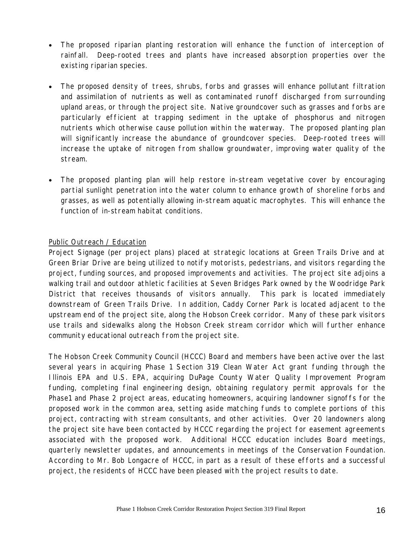- The proposed riparian planting restoration will enhance the function of interception of rainfall. Deep-rooted trees and plants have increased absorption properties over the existing riparian species.
- The proposed density of trees, shrubs, forbs and grasses will enhance pollutant filtration and assimilation of nutrients as well as contaminated runoff discharged from surrounding upland areas, or through the project site. Native groundcover such as grasses and forbs are particularly efficient at trapping sediment in the uptake of phosphorus and nitrogen nutrients which otherwise cause pollution within the waterway. The proposed planting plan will significantly increase the abundance of groundcover species. Deep-rooted trees will increase the uptake of nitrogen from shallow groundwater, improving water quality of the stream.
- The proposed planting plan will help restore in-stream vegetative cover by encouraging partial sunlight penetration into the water column to enhance growth of shoreline forbs and grasses, as well as potentially allowing in-stream aquatic macrophytes. This will enhance the function of in-stream habitat conditions.

#### Public Outreach / Education

Project Signage (per project plans) placed at strategic locations at Green Trails Drive and at Green Briar Drive are being utilized to notify motorists, pedestrians, and visitors regarding the project, funding sources, and proposed improvements and activities. The project site adjoins a walking trail and outdoor athletic facilities at Seven Bridges Park owned by the Woodridge Park District that receives thousands of visitors annually. This park is located immediately downstream of Green Trails Drive. In addition, Caddy Corner Park is located adjacent to the upstream end of the project site, along the Hobson Creek corridor. Many of these park visitors use trails and sidewalks along the Hobson Creek stream corridor which will further enhance community educational outreach from the project site.

The Hobson Creek Community Council (HCCC) Board and members have been active over the last several years in acquiring Phase 1 Section 319 Clean Water Act grant funding through the Illinois EPA and U.S. EPA, acquiring DuPage County Water Quality Improvement Program funding, completing final engineering design, obtaining regulatory permit approvals for the Phase1 and Phase 2 project areas, educating homeowners, acquiring landowner signoffs for the proposed work in the common area, setting aside matching funds to complete portions of this project, contracting with stream consultants, and other activities. Over 20 landowners along the project site have been contacted by HCCC regarding the project for easement agreements associated with the proposed work. Additional HCCC education includes Board meetings, quarterly newsletter updates, and announcements in meetings of the Conservation Foundation. According to Mr. Bob Longacre of HCCC, in part as a result of these efforts and a successful project, the residents of HCCC have been pleased with the project results to date.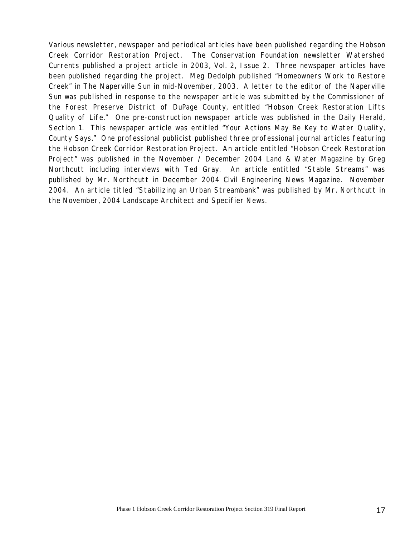Various newsletter, newspaper and periodical articles have been published regarding the Hobson Creek Corridor Restoration Project. The Conservation Foundation newsletter Watershed Currents published a project article in 2003, Vol. 2, Issue 2. Three newspaper articles have been published regarding the project. Meg Dedolph published "Homeowners Work to Restore Creek" in The Naperville Sun in mid-November, 2003. A letter to the editor of the Naperville Sun was published in response to the newspaper article was submitted by the Commissioner of the Forest Preserve District of DuPage County, entitled "Hobson Creek Restoration Lifts Quality of Life." One pre-construction newspaper article was published in the Daily Herald, Section 1. This newspaper article was entitled "Your Actions May Be Key to Water Quality, County Says." One professional publicist published three professional journal articles featuring the Hobson Creek Corridor Restoration Project. An article entitled "Hobson Creek Restoration Project" was published in the November / December 2004 Land & Water Magazine by Greg Northcutt including interviews with Ted Gray. An article entitled "Stable Streams" was published by Mr. Northcutt in December 2004 Civil Engineering News Magazine. November 2004. An article titled "Stabilizing an Urban Streambank" was published by Mr. Northcutt in the November, 2004 Landscape Architect and Specifier News.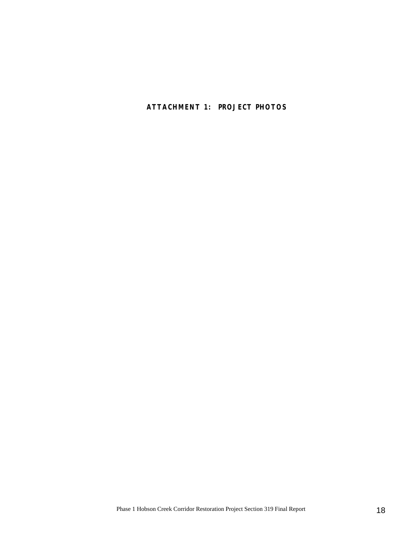**ATTACHMENT 1: PROJECT PHOTOS**